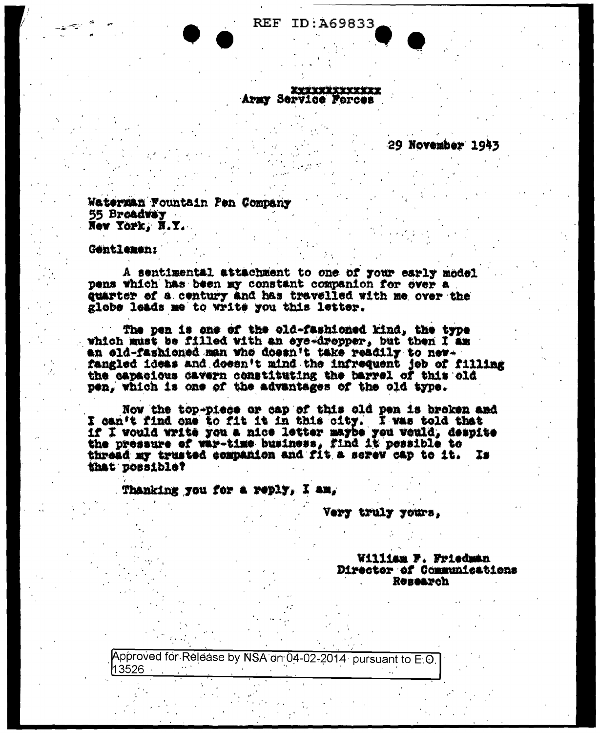**XXXXXXXXXXXXX** 

**REF ID: A69833** 

Army Service Forces

29 November 1943

Waterman Fountain Pen Company 55 Broadway New York, N.Y.

Gentlemen:

A sentimental attachment to one of your early model pens which has been my constant companion for over a quarter of a century and has travelled with me over the globe leads me to write you this letter.

The pen is one of the old-fashioned kind, the type which must be filled with an eye-dropper, but then I am an old-fashioned man who doesn't take readily to newfangled ideas and doesn't mind the infrequent job of filling the capacious cavern constituting the barrel of this old pen, which is one of the advantages of the old type.

Now the top-piece or cap of this old pen is broken and I can't find one to fit it in this city. I was told that if I would write you a nice letter maybe you would, despite the pressure of war-time business, find it possible to thread my trusted companion and fit a serew cap to it. IS. that possible?

Thanking you for a reply, I am,

Very truly yours.

William F. Friedman Director of Communications Renearch

Approved for Release by NSA on 04-02-2014 pursuant to E.O.  $13526$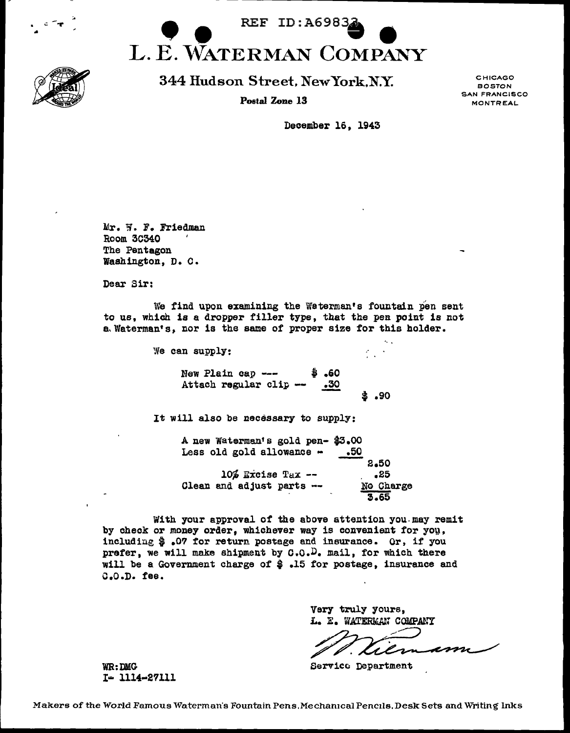

• i.: - ... •

344 Hudson Street, NewYork,N.Y.

Postal Zone 13

CHICAGO BOSTON SAN FRANCISCO MONTREAL

December 16, 1943

Mr. W. F. Friedman Room 30340 The Pentagon Washington, D. C.

Dear Sir:

We find upon examining the Waterman's fountain pen sent to us, which is a dropper filler type, that the pen point is not a.Waterman's, nor is the same of proper size for this holder.

> We can supply: New Plain cap ---<br>Attach regular clip -\$ .60  $\frac{.30}{.}$ It will also be necessary to supply: · .. \$ .90 A new waterman's gold pen- \$3.00 Less old gold allowance  $\sim$  .50

10% Excise Tax --<br>- Clean and adjust parts 2.50 .25 No Charge 3.65

With your approval of the above attention you may remit by check or money order, whichever way is convenient for  $y$ ou, includiug \$ .07 for return postage and insurance. Or, if you prefer, we will make shipment by  $C_1, C_2, D$ . mail, for which there will be a Government charge of \$ .15 for postage, insurance and c.o.n. tee.

> Very truly yours, L. E. WATERMAN COMPANY

WR:DMG Service Department

I• 1114•27111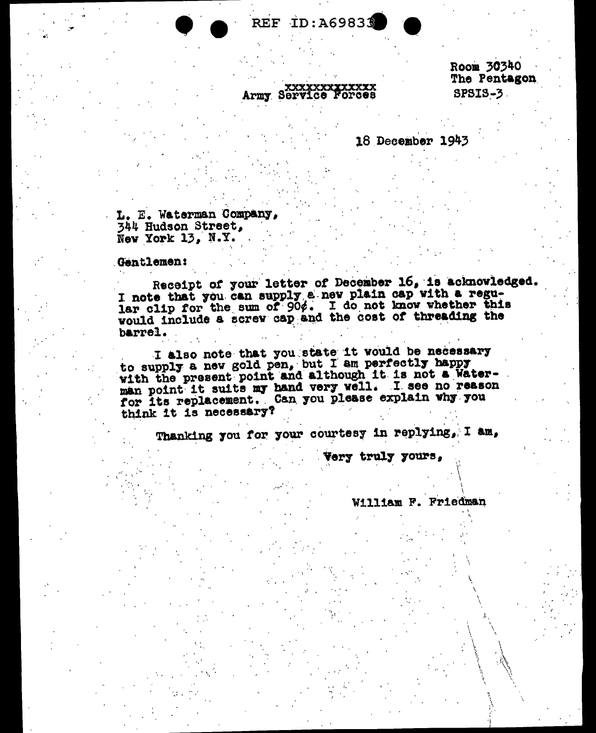**REF ID: A69833** 

## XXXXXXXXXXXXXX<br>Army Service Forces

Room 30340 The Pentagon **SPSIS-3.** 

## 18 December 1943

L. E. Waterman Company. 344 Hudson Street, New York 13. N.Y.

Gentlemen:

Receipt of your letter of December 16, is acknowledged. I note that you can supply a new plain cap with a regular clip for the sum of 90%. I do not know whether this would include a screw cap and the cost of threading the barrel.

I also note that you state it would be necessary<br>to supply a new gold pen, but I am perfectly happy<br>with the present point and although it is not a Waterman point it suits my hand very well. I see no reason for its replacement. Can you please explain why you think it is necessary?

Thanking you for your courtesy in replying, I am,

Very truly yours,

William F. Friedman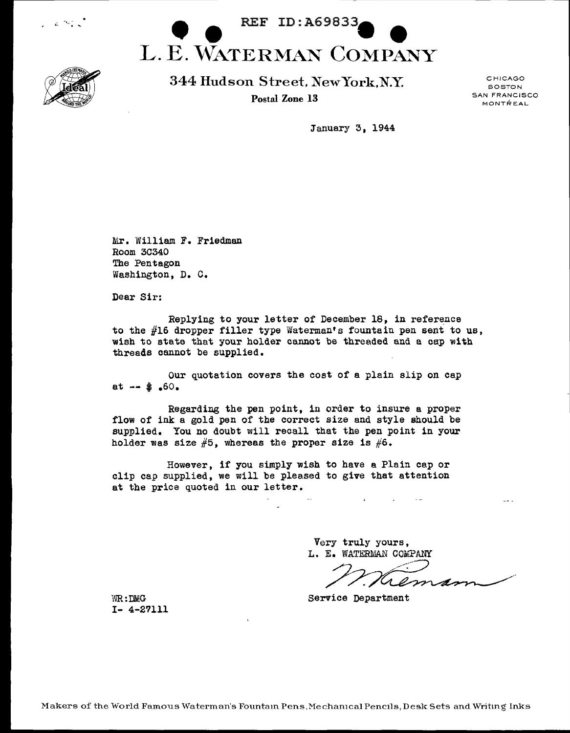





344 Hudson Street. NewYork,N.Y Postal Zone 13

CHICAGO BOSTON SAN FRANCISCO MONTREAL

January 3, 1944

Mr. William F. Friedman Room 30340 The Pentagon Washington, D. C.

Dear Sir:

Replying to your letter *ot* December 18, in reference to the #16 dropper filler type Waterman's fountain pen sent to us, wish to state that your holder cannot be threaded and a cap with threads cannot be supplied.

our quotation covers the cost *ot* a plain slip on cap at  $-$  \$.60.

Regarding the pen point, in order to insure a proper flow of ink a gold pen of the correct size and style should be supplied. You no doubt will recall that the pen point in your holder was size  $#5$ , whereas the proper size is  $#6$ .

However, it you simply wish to have a Plain cap or clip cap supplied, we will be pleased to give that attention at the price quoted in our letter.

> Very truly yours. L. E. WATERMAN COMPANY

 $\sim 10^{-1}$ 

**Contract Contract State** 

rem

WR:DMG Service Department

I- 4-27111